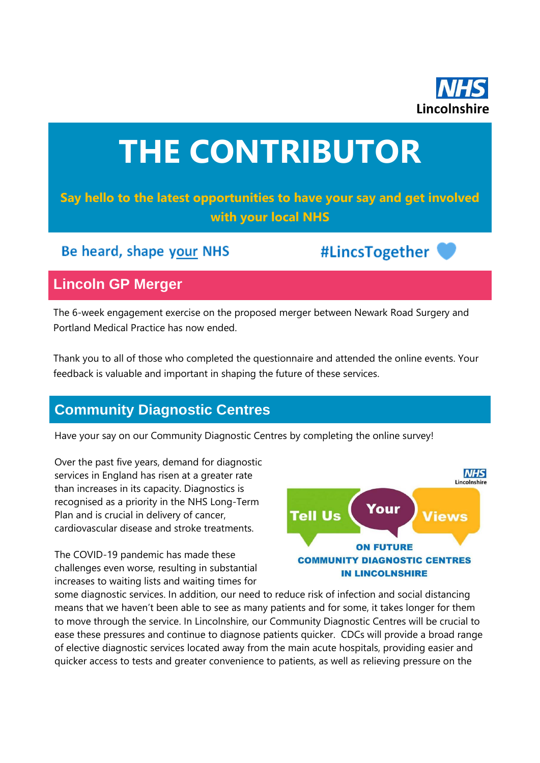

# **THE CONTRIBUTOR**

## **Say hello to the latest opportunities to have your say and get involved with your local NHS**

## Be heard, shape your NHS

#LincsTogether

## **Lincoln GP Merger**

The 6-week engagement exercise on the proposed merger between Newark Road Surgery and Portland Medical Practice has now ended.

Thank you to all of those who completed the questionnaire and attended the online events. Your feedback is valuable and important in shaping the future of these services.

## **Community Diagnostic Centres**

Have your say on our Community Diagnostic Centres by completing the online survey!

Over the past five years, demand for diagnostic services in England has risen at a greater rate than increases in its capacity. Diagnostics is recognised as a priority in the NHS Long-Term Plan and is crucial in delivery of cancer, cardiovascular disease and stroke treatments.

The COVID-19 pandemic has made these challenges even worse, resulting in substantial increases to waiting lists and waiting times for



some diagnostic services. In addition, our need to reduce risk of infection and social distancing means that we haven't been able to see as many patients and for some, it takes longer for them to move through the service. In Lincolnshire, our Community Diagnostic Centres will be crucial to ease these pressures and continue to diagnose patients quicker. CDCs will provide a broad range of elective diagnostic services located away from the main acute hospitals, providing easier and quicker access to tests and greater convenience to patients, as well as relieving pressure on the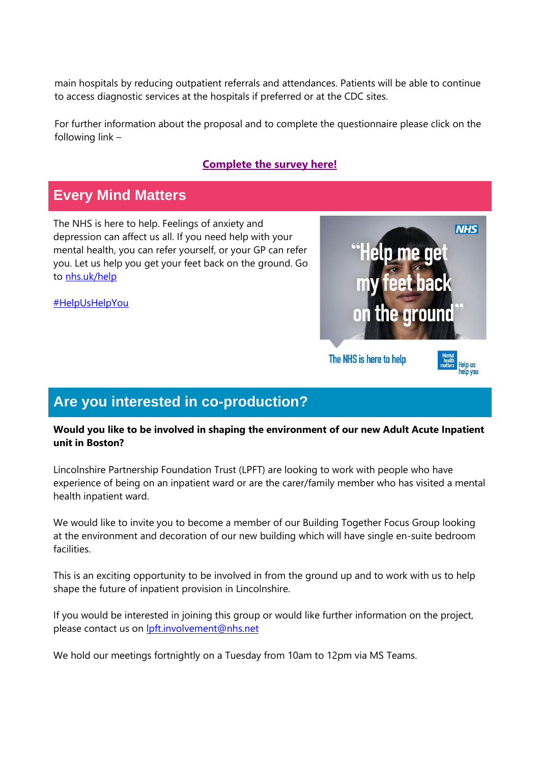main hospitals by reducing outpatient referrals and attendances. Patients will be able to continue to access diagnostic services at the hospitals if preferred or at the CDC sites.

For further information about the proposal and to complete the questionnaire please click on the following link –

#### **[Complete the survey here!](https://nhslincolnshire.qualtrics.com/jfe/form/SV_cUCr1UxvlXSfrP8)**

## **Every Mind Matters**

The NHS is here to help. Feelings of anxiety and depression can affect us all. If you need help with your mental health, you can refer yourself, or your GP can refer you. Let us help you get your feet back on the ground. Go to [nhs.uk/help](http://nhs.uk/help)

[#HelpUsHelpYou](https://www.facebook.com/hashtag/helpushelpyou?__eep__=6&__cft__%5b0%5d=AZVCksbLkFeVX8_A2BCFP9m2286SxPByc62MLv2-FPsT_Sn1sRhv2AZJTWQ9Du8EX1WKTnXFv3hECd8rH7xw2-qpe_3tcoOka1iAfQwv4sDGyzefuCWQ-fEA4Sl20FQUDql4vUh31wQwAsmjqK9JdupHV3I9LLoRmWmNCOiSUAarvEM7sI23Qcmd4ZZDmk-KRdM&__tn__=*NK-R)



## **Are you interested in co-production?**

#### **Would you like to be involved in shaping the environment of our new Adult Acute Inpatient unit in Boston?**

Lincolnshire Partnership Foundation Trust (LPFT) are looking to work with people who have experience of being on an inpatient ward or are the carer/family member who has visited a mental health inpatient ward.

We would like to invite you to become a member of our Building Together Focus Group looking at the environment and decoration of our new building which will have single en-suite bedroom facilities.

This is an exciting opportunity to be involved in from the ground up and to work with us to help shape the future of inpatient provision in Lincolnshire.

If you would be interested in joining this group or would like further information on the project, please contact us on [lpft.involvement@nhs.net](mailto:lpft.involvement@nhs.net)

We hold our meetings fortnightly on a Tuesday from 10am to 12pm via MS Teams.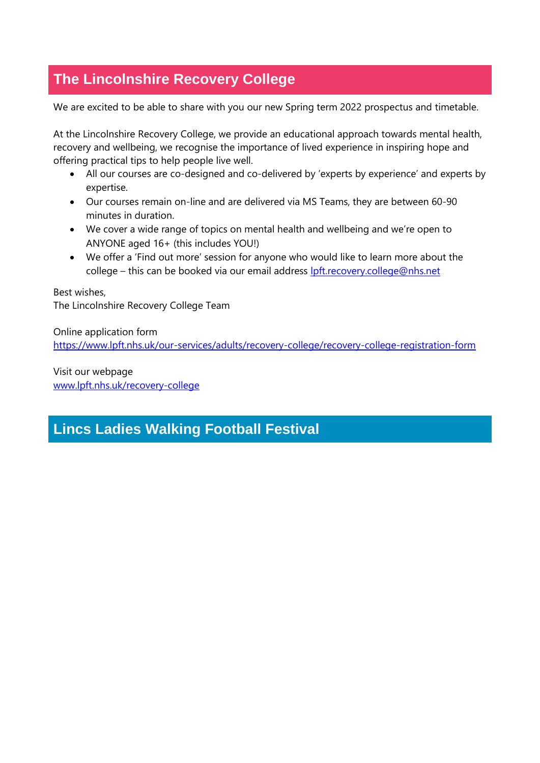## **The Lincolnshire Recovery College**

We are excited to be able to share with you our new Spring term 2022 prospectus and timetable.

At the Lincolnshire Recovery College, we provide an educational approach towards mental health, recovery and wellbeing, we recognise the importance of lived experience in inspiring hope and offering practical tips to help people live well.

- All our courses are co-designed and co-delivered by 'experts by experience' and experts by expertise.
- Our courses remain on-line and are delivered via MS Teams, they are between 60-90 minutes in duration.
- We cover a wide range of topics on mental health and wellbeing and we're open to ANYONE aged 16+ (this includes YOU!)
- We offer a 'Find out more' session for anyone who would like to learn more about the college – this can be booked via our email address [lpft.recovery.college@nhs.net](mailto:lpft.recovery.college@nhs.net)

Best wishes, The Lincolnshire Recovery College Team

Online application form <https://www.lpft.nhs.uk/our-services/adults/recovery-college/recovery-college-registration-form>

Visit our webpage [www.lpft.nhs.uk/recovery-college](http://www.lpft.nhs.uk/recovery-college)

## **Lincs Ladies Walking Football Festival**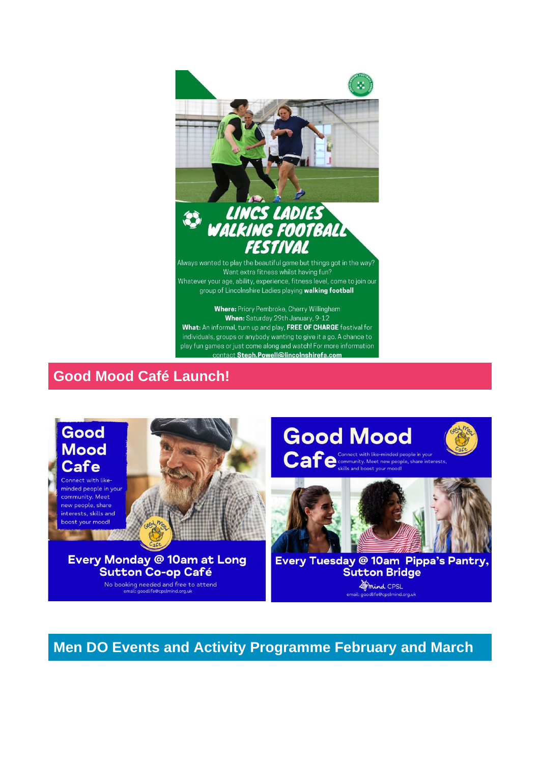

contact Steph.Powell@lincolnshirefa.com

## **Good Mood Café Launch!**



**Men DO Events and Activity Programme February and March**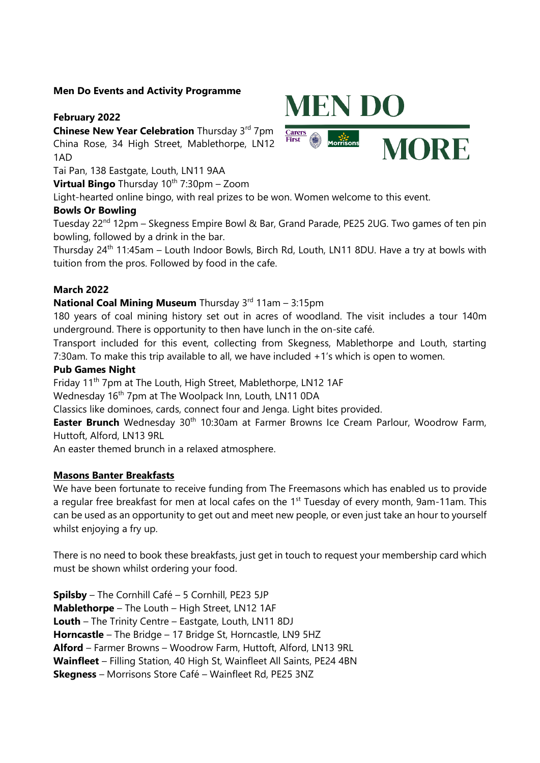#### **Men Do Events and Activity Programme**

#### **February 2022**

**Chinese New Year Celebration** Thursday 3rd 7pm China Rose, 34 High Street, Mablethorpe, LN12 1AD

Tai Pan, 138 Eastgate, Louth, LN11 9AA

**Virtual Bingo** Thursday 10<sup>th</sup> 7:30pm – Zoom

Light-hearted online bingo, with real prizes to be won. Women welcome to this event.

#### **Bowls Or Bowling**

Tuesday 22<sup>nd</sup> 12pm – Skegness Empire Bowl & Bar, Grand Parade, PE25 2UG. Two games of ten pin bowling, followed by a drink in the bar.

Thursday 24<sup>th</sup> 11:45am – Louth Indoor Bowls, Birch Rd, Louth, LN11 8DU. Have a try at bowls with tuition from the pros. Followed by food in the cafe.

#### **March 2022**

#### **National Coal Mining Museum** Thursday 3<sup>rd</sup> 11am - 3:15pm

180 years of coal mining history set out in acres of woodland. The visit includes a tour 140m underground. There is opportunity to then have lunch in the on-site café.

Transport included for this event, collecting from Skegness, Mablethorpe and Louth, starting 7:30am. To make this trip available to all, we have included +1's which is open to women.

#### **Pub Games Night**

Friday 11<sup>th</sup> 7pm at The Louth, High Street, Mablethorpe, LN12 1AF

Wednesday 16<sup>th</sup> 7pm at The Woolpack Inn, Louth, LN11 0DA

Classics like dominoes, cards, connect four and Jenga. Light bites provided.

**Easter Brunch** Wednesday 30<sup>th</sup> 10:30am at Farmer Browns Ice Cream Parlour, Woodrow Farm, Huttoft, Alford, LN13 9RL

An easter themed brunch in a relaxed atmosphere.

#### **Masons Banter Breakfasts**

We have been fortunate to receive funding from The Freemasons which has enabled us to provide a regular free breakfast for men at local cafes on the 1<sup>st</sup> Tuesday of every month, 9am-11am. This can be used as an opportunity to get out and meet new people, or even just take an hour to yourself whilst enjoying a fry up.

There is no need to book these breakfasts, just get in touch to request your membership card which must be shown whilst ordering your food.

**Spilsby** – The Cornhill Café – 5 Cornhill, PE23 5JP **Mablethorpe** – The Louth – High Street, LN12 1AF **Louth** – The Trinity Centre – Eastgate, Louth, LN11 8DJ **Horncastle** – The Bridge – 17 Bridge St, Horncastle, LN9 5HZ **Alford** – Farmer Browns – Woodrow Farm, Huttoft, Alford, LN13 9RL **Wainfleet** – Filling Station, 40 High St, Wainfleet All Saints, PE24 4BN **Skegness** – Morrisons Store Café – Wainfleet Rd, PE25 3NZ

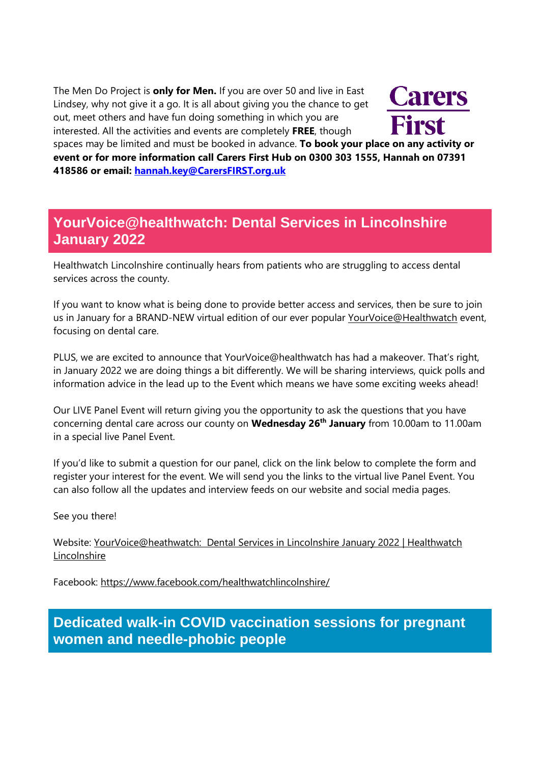The Men Do Project is **only for Men.** If you are over 50 and live in East Lindsey, why not give it a go. It is all about giving you the chance to get out, meet others and have fun doing something in which you are interested. All the activities and events are completely **FREE**, though



spaces may be limited and must be booked in advance. **To book your place on any activity or event or for more information call Carers First Hub on 0300 303 1555, Hannah on 07391 418586 or email: [hannah.key@CarersFIRST.org.uk](mailto:hannah.key@CarersFIRST.org.uk)**

## **YourVoice@healthwatch: Dental Services in Lincolnshire January 2022**

Healthwatch Lincolnshire continually hears from patients who are struggling to access dental services across the county.

If you want to know what is being done to provide better access and services, then be sure to join us in January for a BRAND-NEW virtual edition of our ever popular [YourVoice@Healthwatch](mailto:YourVoice@Healthwatch) event, focusing on dental care.

PLUS, we are excited to announce that YourVoice@healthwatch has had a makeover. That's right, in January 2022 we are doing things a bit differently. We will be sharing interviews, quick polls and information advice in the lead up to the Event which means we have some exciting weeks ahead!

Our LIVE Panel Event will return giving you the opportunity to ask the questions that you have concerning dental care across our county on **Wednesday 26th January** from 10.00am to 11.00am in a special live Panel Event.

If you'd like to submit a question for our panel, click on the link below to complete the form and register your interest for the event. We will send you the links to the virtual live Panel Event. You can also follow all the updates and interview feeds on our website and social media pages.

See you there!

Website: YourVoice@heathwatch: Dental Services [in Lincolnshire January 2022 | Healthwatch](https://www.healthwatchlincolnshire.co.uk/YourVoice%40heathwatch-Dental-Services-in-Lincolnshire-January-2022?fbclid=IwAR2uQnPMziZkbaWP-fyh7BjS8Q_XEQLdhQKYsm559kgb_ZqAKZk8r_99mxU)  [Lincolnshire](https://www.healthwatchlincolnshire.co.uk/YourVoice%40heathwatch-Dental-Services-in-Lincolnshire-January-2022?fbclid=IwAR2uQnPMziZkbaWP-fyh7BjS8Q_XEQLdhQKYsm559kgb_ZqAKZk8r_99mxU)

Facebook: <https://www.facebook.com/healthwatchlincolnshire/>

**Dedicated walk-in COVID vaccination sessions for pregnant women and needle-phobic people**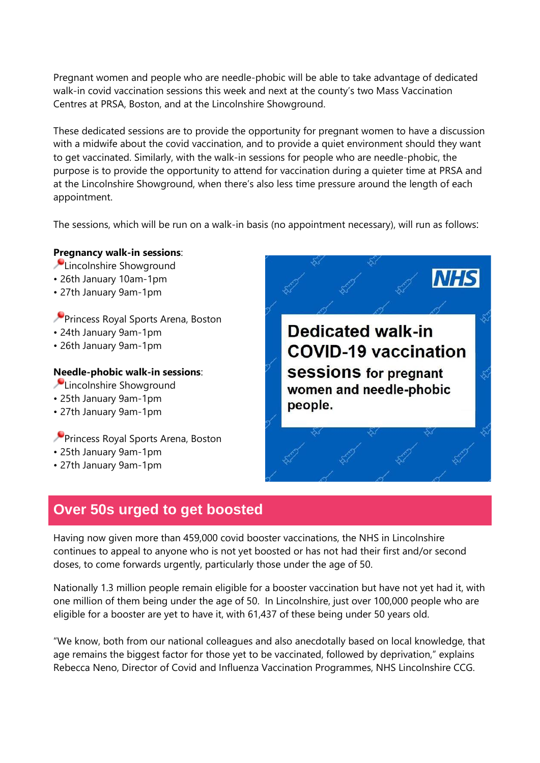Pregnant women and people who are needle-phobic will be able to take advantage of dedicated walk-in covid vaccination sessions this week and next at the county's two Mass Vaccination Centres at PRSA, Boston, and at the Lincolnshire Showground.

These dedicated sessions are to provide the opportunity for pregnant women to have a discussion with a midwife about the covid vaccination, and to provide a quiet environment should they want to get vaccinated. Similarly, with the walk-in sessions for people who are needle-phobic, the purpose is to provide the opportunity to attend for vaccination during a quieter time at PRSA and at the Lincolnshire Showground, when there's also less time pressure around the length of each appointment.

The sessions, which will be run on a walk-in basis (no appointment necessary), will run as follows:

#### **Pregnancy walk-in sessions**:

- **Lincolnshire Showground**
- 26th January 10am-1pm
- 27th January 9am-1pm
- **Princess Royal Sports Arena, Boston**
- 24th January 9am-1pm
- 26th January 9am-1pm

#### **Needle-phobic walk-in sessions**:

- **Lincolnshire Showground**
- 25th January 9am-1pm
- 27th January 9am-1pm

**Princess Royal Sports Arena, Boston** 

- 25th January 9am-1pm
- 27th January 9am-1pm

## **NHS Dedicated walk-in COVID-19 vaccination Sessions for pregnant** women and needle-phobic people.

## **Over 50s urged to get boosted**

Having now given more than 459,000 covid booster vaccinations, the NHS in Lincolnshire continues to appeal to anyone who is not yet boosted or has not had their first and/or second doses, to come forwards urgently, particularly those under the age of 50.

Nationally 1.3 million people remain eligible for a booster vaccination but have not yet had it, with one million of them being under the age of 50. In Lincolnshire, just over 100,000 people who are eligible for a booster are yet to have it, with 61,437 of these being under 50 years old.

"We know, both from our national colleagues and also anecdotally based on local knowledge, that age remains the biggest factor for those yet to be vaccinated, followed by deprivation," explains Rebecca Neno, Director of Covid and Influenza Vaccination Programmes, NHS Lincolnshire CCG.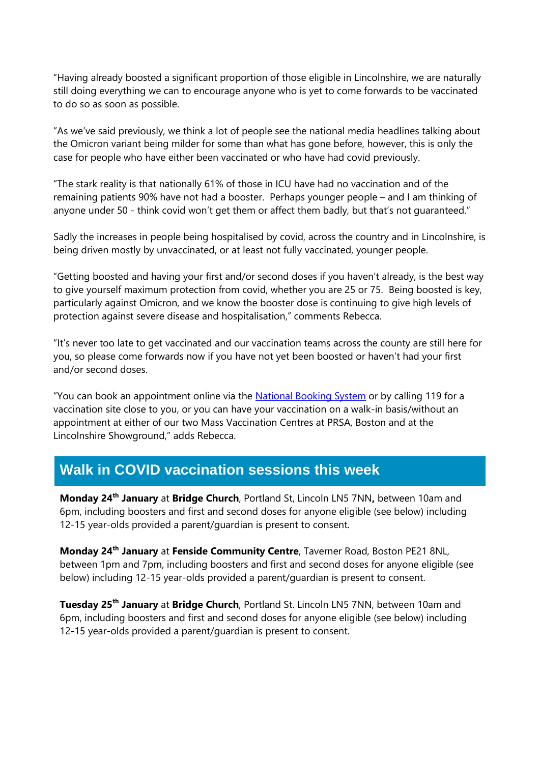"Having already boosted a significant proportion of those eligible in Lincolnshire, we are naturally still doing everything we can to encourage anyone who is yet to come forwards to be vaccinated to do so as soon as possible.

"As we've said previously, we think a lot of people see the national media headlines talking about the Omicron variant being milder for some than what has gone before, however, this is only the case for people who have either been vaccinated or who have had covid previously.

"The stark reality is that nationally 61% of those in ICU have had no vaccination and of the remaining patients 90% have not had a booster. Perhaps younger people – and I am thinking of anyone under 50 - think covid won't get them or affect them badly, but that's not guaranteed."

Sadly the increases in people being hospitalised by covid, across the country and in Lincolnshire, is being driven mostly by unvaccinated, or at least not fully vaccinated, younger people.

"Getting boosted and having your first and/or second doses if you haven't already, is the best way to give yourself maximum protection from covid, whether you are 25 or 75. Being boosted is key, particularly against Omicron, and we know the booster dose is continuing to give high levels of protection against severe disease and hospitalisation," comments Rebecca.

"It's never too late to get vaccinated and our vaccination teams across the county are still here for you, so please come forwards now if you have not yet been boosted or haven't had your first and/or second doses.

"You can book an appointment online via the [National Booking System](https://www.nhs.uk/conditions/coronavirus-covid-19/coronavirus-vaccination/book-coronavirus-vaccination/book-or-manage-a-booster-dose-of-the-coronavirus-covid-19-vaccine/) or by calling 119 for a vaccination site close to you, or you can have your vaccination on a walk-in basis/without an appointment at either of our two Mass Vaccination Centres at PRSA, Boston and at the Lincolnshire Showground," adds Rebecca.

## **Walk in COVID vaccination sessions this week**

**Monday 24th January** at **Bridge Church**, Portland St, Lincoln LN5 7NN**,** between 10am and 6pm, including boosters and first and second doses for anyone eligible (see below) including 12-15 year-olds provided a parent/guardian is present to consent.

**Monday 24th January** at **Fenside Community Centre**, Taverner Road, Boston PE21 8NL, between 1pm and 7pm, including boosters and first and second doses for anyone eligible (see below) including 12-15 year-olds provided a parent/guardian is present to consent.

**Tuesday 25th January** at **Bridge Church**, Portland St. Lincoln LN5 7NN, between 10am and 6pm, including boosters and first and second doses for anyone eligible (see below) including 12-15 year-olds provided a parent/guardian is present to consent.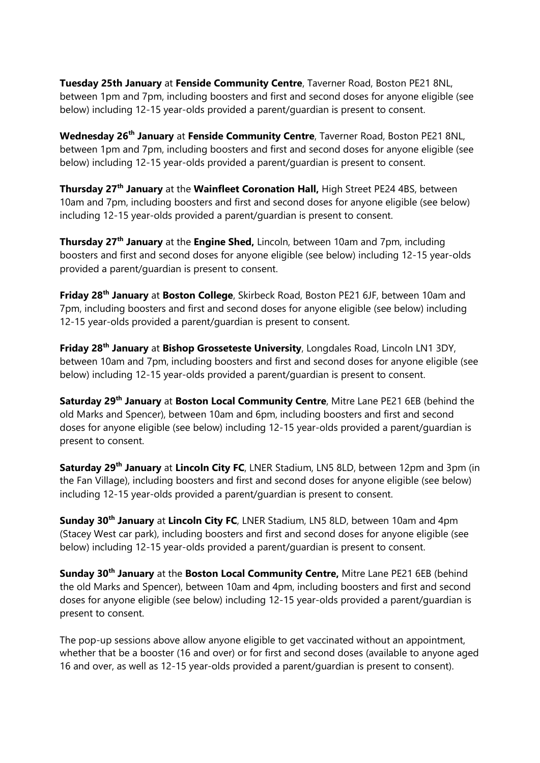**Tuesday 25th January** at **Fenside Community Centre**, Taverner Road, Boston PE21 8NL, between 1pm and 7pm, including boosters and first and second doses for anyone eligible (see below) including 12-15 year-olds provided a parent/guardian is present to consent.

**Wednesday 26th January** at **Fenside Community Centre**, Taverner Road, Boston PE21 8NL, between 1pm and 7pm, including boosters and first and second doses for anyone eligible (see below) including 12-15 year-olds provided a parent/guardian is present to consent.

**Thursday 27th January** at the **Wainfleet Coronation Hall,** High Street PE24 4BS, between 10am and 7pm, including boosters and first and second doses for anyone eligible (see below) including 12-15 year-olds provided a parent/guardian is present to consent.

**Thursday 27th January** at the **Engine Shed,** Lincoln, between 10am and 7pm, including boosters and first and second doses for anyone eligible (see below) including 12-15 year-olds provided a parent/guardian is present to consent.

**Friday 28th January** at **Boston College**, Skirbeck Road, Boston PE21 6JF, between 10am and 7pm, including boosters and first and second doses for anyone eligible (see below) including 12-15 year-olds provided a parent/guardian is present to consent.

**Friday 28th January** at **Bishop Grosseteste University**, Longdales Road, Lincoln LN1 3DY, between 10am and 7pm, including boosters and first and second doses for anyone eligible (see below) including 12-15 year-olds provided a parent/guardian is present to consent.

**Saturday 29th January** at **Boston Local Community Centre**, Mitre Lane PE21 6EB (behind the old Marks and Spencer), between 10am and 6pm, including boosters and first and second doses for anyone eligible (see below) including 12-15 year-olds provided a parent/guardian is present to consent.

**Saturday 29th January** at **Lincoln City FC**, LNER Stadium, LN5 8LD, between 12pm and 3pm (in the Fan Village), including boosters and first and second doses for anyone eligible (see below) including 12-15 year-olds provided a parent/guardian is present to consent.

**Sunday 30th January** at **Lincoln City FC**, LNER Stadium, LN5 8LD, between 10am and 4pm (Stacey West car park), including boosters and first and second doses for anyone eligible (see below) including 12-15 year-olds provided a parent/guardian is present to consent.

**Sunday 30th January** at the **Boston Local Community Centre,** Mitre Lane PE21 6EB (behind the old Marks and Spencer), between 10am and 4pm, including boosters and first and second doses for anyone eligible (see below) including 12-15 year-olds provided a parent/guardian is present to consent.

The pop-up sessions above allow anyone eligible to get vaccinated without an appointment, whether that be a booster (16 and over) or for first and second doses (available to anyone aged 16 and over, as well as 12-15 year-olds provided a parent/guardian is present to consent).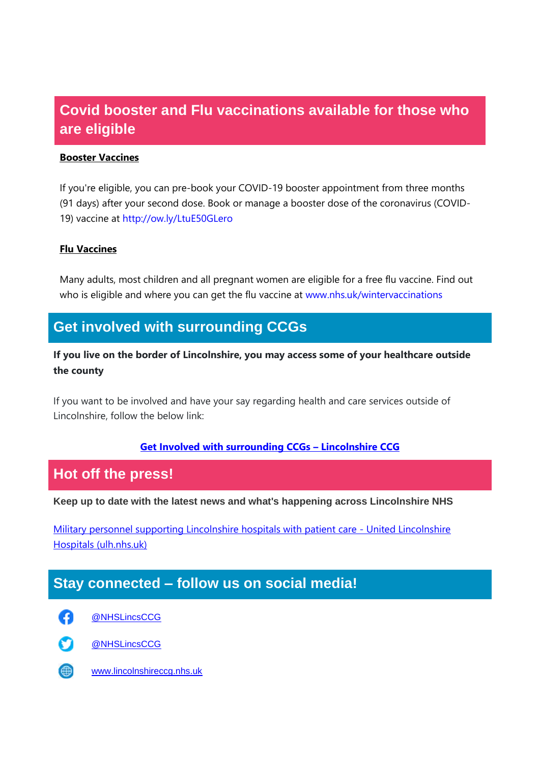## **Covid booster and Flu vaccinations available for those who are eligible**

#### **Booster Vaccines**

If you're eligible, you can pre-book your COVID-19 booster appointment from three months (91 days) after your second dose. Book or manage a booster dose of the coronavirus (COVID-19) vaccine at [http://ow.ly/LtuE50GLero](http://ow.ly/LtuE50GLero?fbclid=IwAR3XJEWleqYaBsRKKEZvzOQTPhh6xJMHMX7CjAbY_UUfz6ZWyBf0D1-L7zQ)

#### **Flu Vaccines**

Many adults, most children and all pregnant women are eligible for a free flu vaccine. Find out who is eligible and where you can get the flu vaccine at [www.nhs.uk/wintervaccinations](http://www.nhs.uk/wintervaccinations?fbclid=IwAR1SzErYHhJMDfl_VlN1aZcnq-67N6npy7XQ2Y4ZA4Yp1fEVZXhfvNfkDrs)

## **Get involved with surrounding CCGs**

**If you live on the border of Lincolnshire, you may access some of your healthcare outside the county**

If you want to be involved and have your say regarding health and care services outside of Lincolnshire, follow the below link:

#### **[Get Involved with surrounding CCGs](https://lincolnshireccg.nhs.uk/get-involved/how-to-get-involved/get-involved-with-surrounding-ccgs/) – Lincolnshire CCG**

## **Hot off the press!**

**Keep up to date with the latest news and what's happening across Lincolnshire NHS**

[Military personnel supporting Lincolnshire hospitals with patient care -](https://www.ulh.nhs.uk/news/military-personnel-supporting-lincolnshire-hospitals-with-patient-care/) United Lincolnshire [Hospitals \(ulh.nhs.uk\)](https://www.ulh.nhs.uk/news/military-personnel-supporting-lincolnshire-hospitals-with-patient-care/)

## **Stay connected – follow us on social media!**